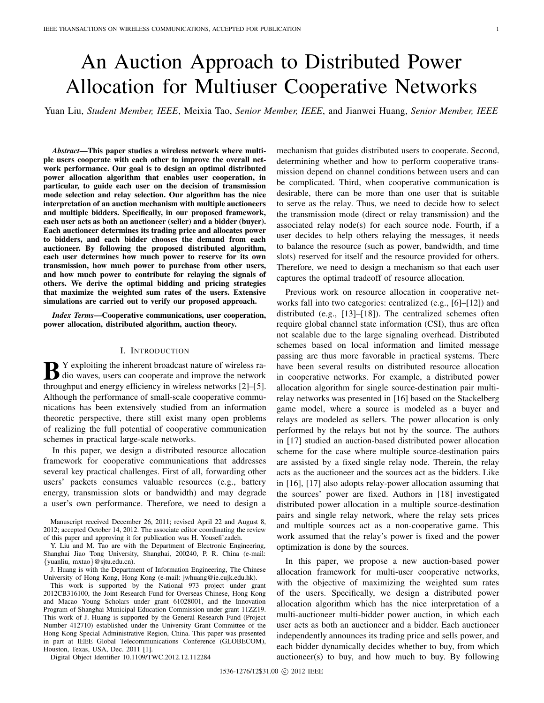# An Auction Approach to Distributed Power Allocation for Multiuser Cooperative Networks

Yuan Liu, *Student Member, IEEE*, Meixia Tao, *Senior Member, IEEE*, and Jianwei Huang, *Senior Member, IEEE*

*Abstract***—This paper studies a wireless network where multiple users cooperate with each other to improve the overall network performance. Our goal is to design an optimal distributed power allocation algorithm that enables user cooperation, in particular, to guide each user on the decision of transmission mode selection and relay selection. Our algorithm has the nice interpretation of an auction mechanism with multiple auctioneers and multiple bidders. Specifically, in our proposed framework, each user acts as both an auctioneer (seller) and a bidder (buyer). Each auctioneer determines its trading price and allocates power to bidders, and each bidder chooses the demand from each auctioneer. By following the proposed distributed algorithm, each user determines how much power to reserve for its own transmission, how much power to purchase from other users, and how much power to contribute for relaying the signals of others. We derive the optimal bidding and pricing strategies that maximize the weighted sum rates of the users. Extensive simulations are carried out to verify our proposed approach.**

*Index Terms***—Cooperative communications, user cooperation, power allocation, distributed algorithm, auction theory.**

#### I. INTRODUCTION

**B** Y exploiting the inherent broadcast nature of wireless ra-<br>dio waves, users can cooperate and improve the network throughput and energy efficiency in wireless networks [2]–[5]. Although the performance of small-scale cooperative communications has been extensively studied from an information theoretic perspective, there still exist many open problems of realizing the full potential of cooperative communication schemes in practical large-scale networks.

In this paper, we design a distributed resource allocation framework for cooperative communications that addresses several key practical challenges. First of all, forwarding other users' packets consumes valuable resources (e.g., battery energy, transmission slots or bandwidth) and may degrade a user's own performance. Therefore, we need to design a

This work is supported by the National 973 project under grant 2012CB316100, the Joint Research Fund for Overseas Chinese, Hong Kong and Macao Young Scholars under grant 61028001, and the Innovation Program of Shanghai Municipal Education Commission under grant 11ZZ19. This work of J. Huang is supported by the General Research Fund (Project Number 412710) established under the University Grant Committee of the Hong Kong Special Administrative Region, China. This paper was presented in part at IEEE Global Telecommunications Conference (GLOBECOM), Houston, Texas, USA, Dec. 2011 [1].

Digital Object Identifier 10.1109/TWC.2012.12.112284

mechanism that guides distributed users to cooperate. Second, determining whether and how to perform cooperative transmission depend on channel conditions between users and can be complicated. Third, when cooperative communication is desirable, there can be more than one user that is suitable to serve as the relay. Thus, we need to decide how to select the transmission mode (direct or relay transmission) and the associated relay node(s) for each source node. Fourth, if a user decides to help others relaying the messages, it needs to balance the resource (such as power, bandwidth, and time slots) reserved for itself and the resource provided for others. Therefore, we need to design a mechanism so that each user captures the optimal tradeoff of resource allocation.

Previous work on resource allocation in cooperative networks fall into two categories: centralized (e.g., [6]–[12]) and distributed (e.g., [13]–[18]). The centralized schemes often require global channel state information (CSI), thus are often not scalable due to the large signaling overhead. Distributed schemes based on local information and limited message passing are thus more favorable in practical systems. There have been several results on distributed resource allocation in cooperative networks. For example, a distributed power allocation algorithm for single source-destination pair multirelay networks was presented in [16] based on the Stackelberg game model, where a source is modeled as a buyer and relays are modeled as sellers. The power allocation is only performed by the relays but not by the source. The authors in [17] studied an auction-based distributed power allocation scheme for the case where multiple source-destination pairs are assisted by a fixed single relay node. Therein, the relay acts as the auctioneer and the sources act as the bidders. Like in [16], [17] also adopts relay-power allocation assuming that the sources' power are fixed. Authors in [18] investigated distributed power allocation in a multiple source-destination pairs and single relay network, where the relay sets prices and multiple sources act as a non-cooperative game. This work assumed that the relay's power is fixed and the power optimization is done by the sources.

In this paper, we propose a new auction-based power allocation framework for multi-user cooperative networks, with the objective of maximizing the weighted sum rates of the users. Specifically, we design a distributed power allocation algorithm which has the nice interpretation of a multi-auctioneer multi-bidder power auction, in which each user acts as both an auctioneer and a bidder. Each auctioneer independently announces its trading price and sells power, and each bidder dynamically decides whether to buy, from which auctioneer(s) to buy, and how much to buy. By following

Manuscript received December 26, 2011; revised April 22 and August 8, 2012; accepted October 14, 2012. The associate editor coordinating the review of this paper and approving it for publication was H. Yousefi'zadeh.

Y. Liu and M. Tao are with the Department of Electronic Engineering, Shanghai Jiao Tong University, Shanghai, 200240, P. R. China (e-mail: {yuanliu, mxtao}@sjtu.edu.cn).

J. Huang is with the Department of Information Engineering, The Chinese University of Hong Kong, Hong Kong (e-mail: jwhuang@ie.cujk.edu.hk).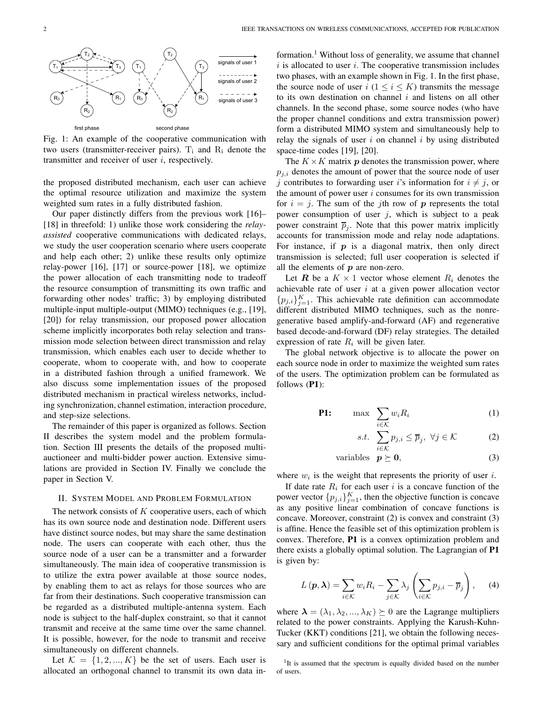

Fig. 1: An example of the cooperative communication with two users (transmitter-receiver pairs).  $T_i$  and  $R_i$  denote the transmitter and receiver of user  $i$ , respectively.

the proposed distributed mechanism, each user can achieve the optimal resource utilization and maximize the system weighted sum rates in a fully distributed fashion.

Our paper distinctly differs from the previous work [16]– [18] in threefold: 1) unlike those work considering the *relayassisted* cooperative communications with dedicated relays, we study the user cooperation scenario where users cooperate and help each other; 2) unlike these results only optimize relay-power [16], [17] or source-power [18], we optimize the power allocation of each transmitting node to tradeoff the resource consumption of transmitting its own traffic and forwarding other nodes' traffic; 3) by employing distributed multiple-input multiple-output (MIMO) techniques (e.g., [19], [20]) for relay transmission, our proposed power allocation scheme implicitly incorporates both relay selection and transmission mode selection between direct transmission and relay transmission, which enables each user to decide whether to cooperate, whom to cooperate with, and how to cooperate in a distributed fashion through a unified framework. We also discuss some implementation issues of the proposed distributed mechanism in practical wireless networks, including synchronization, channel estimation, interaction procedure, and step-size selections.

The remainder of this paper is organized as follows. Section II describes the system model and the problem formulation. Section III presents the details of the proposed multiauctioneer and multi-bidder power auction. Extensive simulations are provided in Section IV. Finally we conclude the paper in Section V.

## II. SYSTEM MODEL AND PROBLEM FORMULATION

The network consists of  $K$  cooperative users, each of which has its own source node and destination node. Different users have distinct source nodes, but may share the same destination node. The users can cooperate with each other, thus the source node of a user can be a transmitter and a forwarder simultaneously. The main idea of cooperative transmission is to utilize the extra power available at those source nodes, by enabling them to act as relays for those sources who are far from their destinations. Such cooperative transmission can be regarded as a distributed multiple-antenna system. Each node is subject to the half-duplex constraint, so that it cannot transmit and receive at the same time over the same channel. It is possible, however, for the node to transmit and receive simultaneously on different channels.

Let  $\mathcal{K} = \{1, 2, ..., K\}$  be the set of users. Each user is allocated an orthogonal channel to transmit its own data information.<sup>1</sup> Without loss of generality, we assume that channel  $i$  is allocated to user  $i$ . The cooperative transmission includes two phases, with an example shown in Fig. 1. In the first phase, the source node of user  $i$  ( $1 \le i \le K$ ) transmits the message to its own destination on channel  $i$  and listens on all other channels. In the second phase, some source nodes (who have the proper channel conditions and extra transmission power) form a distributed MIMO system and simultaneously help to relay the signals of user  $i$  on channel  $i$  by using distributed space-time codes [19], [20].

The  $K \times K$  matrix  $p$  denotes the transmission power, where  $p_{j,i}$  denotes the amount of power that the source node of user j contributes to forwarding user i's information for  $i \neq j$ , or the amount of power user  $i$  consumes for its own transmission for  $i = j$ . The sum of the jth row of  $p$  represents the total power consumption of user  $j$ , which is subject to a peak power constraint  $\overline{p}_i$ . Note that this power matrix implicitly accounts for transmission mode and relay node adaptations. For instance, if p is a diagonal matrix, then only direct transmission is selected; full user cooperation is selected if all the elements of *p* are non-zero.

Let *R* be a  $K \times 1$  vector whose element  $R_i$  denotes the achievable rate of user  $i$  at a given power allocation vector  ${p_{j,i}}_{j=1}^K$ . This achievable rate definition can accommodate different distributed MIMO techniques, such as the nonregenerative based amplify-and-forward (AF) and regenerative based decode-and-forward (DF) relay strategies. The detailed expression of rate  $R_i$  will be given later.

The global network objective is to allocate the power on each source node in order to maximize the weighted sum rates of the users. The optimization problem can be formulated as follows (**P1**):

$$
\textbf{P1:} \qquad \max \ \sum_{i \in \mathcal{K}} w_i R_i \tag{1}
$$

$$
s.t. \sum_{i \in \mathcal{K}} p_{j,i} \leq \overline{p}_j, \ \forall j \in \mathcal{K} \tag{2}
$$

variables 
$$
p \succeq 0
$$
, (3)

where  $w_i$  is the weight that represents the priority of user i.

If date rate  $R_i$  for each user i is a concave function of the power vector  $\{p_{j,i}\}_{j=1}^K$ , then the objective function is concave as any positive linear combination of concave functions is concave. Moreover, constraint (2) is convex and constraint (3) is affine. Hence the feasible set of this optimization problem is convex. Therefore, **P1** is a convex optimization problem and there exists a globally optimal solution. The Lagrangian of **P1** is given by:

$$
L(\mathbf{p}, \boldsymbol{\lambda}) = \sum_{i \in \mathcal{K}} w_i R_i - \sum_{j \in \mathcal{K}} \lambda_j \left( \sum_{i \in \mathcal{K}} p_{j,i} - \overline{p}_j \right), \quad (4)
$$

where  $\lambda = (\lambda_1, \lambda_2, ..., \lambda_K) \succeq 0$  are the Lagrange multipliers related to the power constraints. Applying the Karush-Kuhn-Tucker (KKT) conditions [21], we obtain the following necessary and sufficient conditions for the optimal primal variables

<sup>1</sup>It is assumed that the spectrum is equally divided based on the number of users.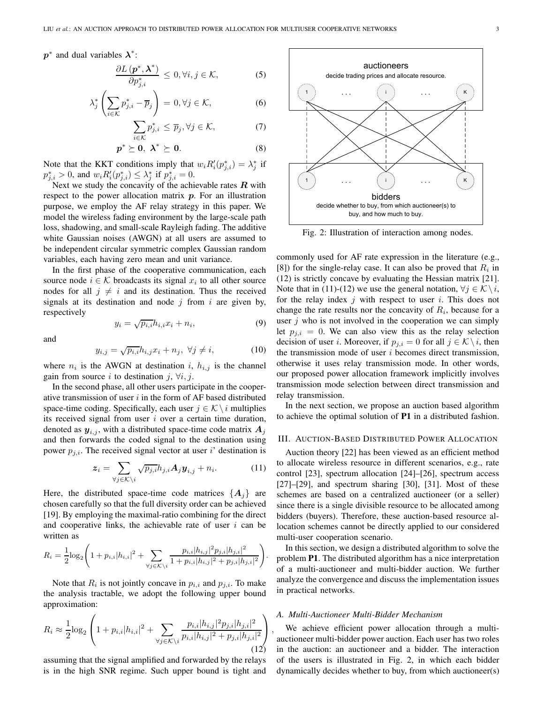*p*<sup>∗</sup> and dual variables *λ*∗:

$$
\frac{\partial L\left(\boldsymbol{p}^*, \boldsymbol{\lambda}^*\right)}{\partial p_{j,i}^*} \leq 0, \forall i, j \in \mathcal{K},\tag{5}
$$

$$
\lambda_j^* \left( \sum_{i \in \mathcal{K}} p_{j,i}^* - \overline{p}_j \right) = 0, \forall j \in \mathcal{K}, \tag{6}
$$

$$
\sum_{i \in \mathcal{K}} p_{j,i}^* \le \overline{p}_j, \forall j \in \mathcal{K}, \tag{7}
$$

$$
p^* \succeq 0, \ \lambda^* \succeq 0. \tag{8}
$$

Note that the KKT conditions imply that  $w_i R_i'(p_{j,i}^*) = \lambda_j^*$  if  $p_{j,i}^* > 0$ , and  $w_i R_i'(p_{j,i}^*) \leq \lambda_j^*$  if  $p_{j,i}^* = 0$ .

Next we study the concavity of the achievable rates  $\boldsymbol{R}$  with respect to the power allocation matrix *p*. For an illustration purpose, we employ the AF relay strategy in this paper. We model the wireless fading environment by the large-scale path loss, shadowing, and small-scale Rayleigh fading. The additive white Gaussian noises (AWGN) at all users are assumed to be independent circular symmetric complex Gaussian random variables, each having zero mean and unit variance.

In the first phase of the cooperative communication, each source node  $i \in \mathcal{K}$  broadcasts its signal  $x_i$  to all other source nodes for all  $j \neq i$  and its destination. Thus the received signals at its destination and node  $i$  from  $i$  are given by, respectively

and

$$
y_{i,j} = \sqrt{p_{i,i}} h_{i,j} x_i + n_j, \ \forall j \neq i,
$$
 (10)

 $y_i = \sqrt{p_{i,i}} h_{i,i} x_i + n_i,$  (9)

where  $n_i$  is the AWGN at destination i,  $h_{i,j}$  is the channel gain from source i to destination j,  $\forall i, j$ .

In the second phase, all other users participate in the cooperative transmission of user  $i$  in the form of AF based distributed space-time coding. Specifically, each user  $j \in \mathcal{K} \setminus i$  multiplies its received signal from user  $i$  over a certain time duration, denoted as  $y_{i,j}$ , with a distributed space-time code matrix  $A_j$ and then forwards the coded signal to the destination using power  $p_{j,i}$ . The received signal vector at user i' destination is

$$
z_i = \sum_{\forall j \in \mathcal{K}\backslash i} \sqrt{p_{j,i}} h_{j,i} A_j \mathbf{y}_{i,j} + n_i.
$$
 (11)

*.*

Here, the distributed space-time code matrices  ${A_i}$  are chosen carefully so that the full diversity order can be achieved [19]. By employing the maximal-ratio combining for the direct and cooperative links, the achievable rate of user  $i$  can be written as

$$
R_i = \frac{1}{2} \log_2 \left( 1 + p_{i,i} |h_{i,i}|^2 + \sum_{\forall j \in \mathcal{K} \setminus i} \frac{p_{i,i} |h_{i,j}|^2 p_{j,i} |h_{j,i}|^2}{1 + p_{i,i} |h_{i,j}|^2 + p_{j,i} |h_{j,i}|^2} \right)
$$

Note that  $R_i$  is not jointly concave in  $p_{i,i}$  and  $p_{j,i}$ . To make the analysis tractable, we adopt the following upper bound approximation:

$$
R_i \approx \frac{1}{2} \log_2 \left( 1 + p_{i,i} |h_{i,i}|^2 + \sum_{\forall j \in \mathcal{K} \backslash i} \frac{p_{i,i} |h_{i,j}|^2 p_{j,i} |h_{j,i}|^2}{p_{i,i} |h_{i,j}|^2 + p_{j,i} |h_{j,i}|^2} \right),\tag{12}
$$

assuming that the signal amplified and forwarded by the relays is in the high SNR regime. Such upper bound is tight and



Fig. 2: Illustration of interaction among nodes.

commonly used for AF rate expression in the literature (e.g., [8]) for the single-relay case. It can also be proved that  $R_i$  in (12) is strictly concave by evaluating the Hessian matrix [21]. Note that in (11)-(12) we use the general notation,  $\forall j \in \mathcal{K} \setminus i$ , for the relay index  $i$  with respect to user  $i$ . This does not change the rate results nor the concavity of  $R_i$ , because for a user  $j$  who is not involved in the cooperation we can simply let  $p_{j,i} = 0$ . We can also view this as the relay selection decision of user *i*. Moreover, if  $p_{j,i} = 0$  for all  $j \in \mathcal{K} \setminus i$ , then the transmission mode of user  $i$  becomes direct transmission, otherwise it uses relay transmission mode. In other words, our proposed power allocation framework implicitly involves transmission mode selection between direct transmission and relay transmission.

In the next section, we propose an auction based algorithm to achieve the optimal solution of **P1** in a distributed fashion.

## III. AUCTION-BASED DISTRIBUTED POWER ALLOCATION

Auction theory [22] has been viewed as an efficient method to allocate wireless resource in different scenarios, e.g., rate control [23], spectrum allocation [24]–[26], spectrum access  $[27]$ – $[29]$ , and spectrum sharing  $[30]$ ,  $[31]$ . Most of these schemes are based on a centralized auctioneer (or a seller) since there is a single divisible resource to be allocated among bidders (buyers). Therefore, these auction-based resource allocation schemes cannot be directly applied to our considered multi-user cooperation scenario.

In this section, we design a distributed algorithm to solve the problem **P1**. The distributed algorithm has a nice interpretation of a multi-auctioneer and multi-bidder auction. We further analyze the convergence and discuss the implementation issues in practical networks.

## *A. Multi-Auctioneer Multi-Bidder Mechanism*

We achieve efficient power allocation through a multiauctioneer multi-bidder power auction. Each user has two roles in the auction: an auctioneer and a bidder. The interaction of the users is illustrated in Fig. 2, in which each bidder dynamically decides whether to buy, from which auctioneer(s)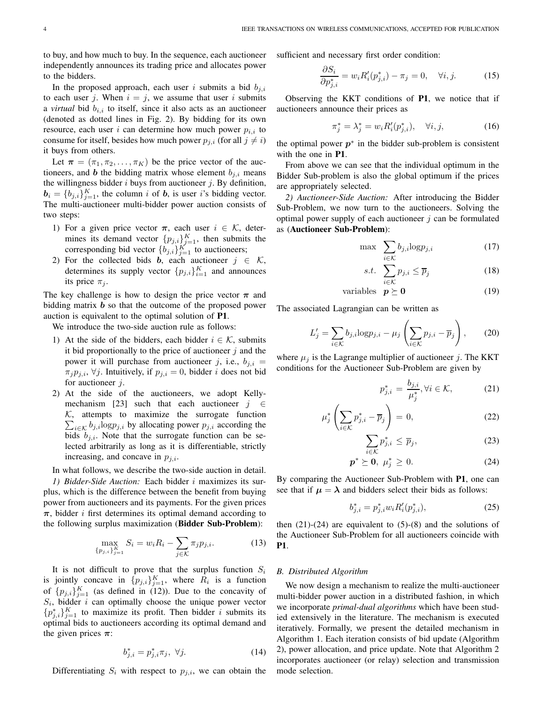to buy, and how much to buy. In the sequence, each auctioneer independently announces its trading price and allocates power to the bidders.

In the proposed approach, each user i submits a bid  $b_{j,i}$ to each user j. When  $i = j$ , we assume that user i submits a *virtual* bid  $b_{i,i}$  to itself, since it also acts as an auctioneer (denoted as dotted lines in Fig. 2). By bidding for its own resource, each user i can determine how much power  $p_{i,i}$  to consume for itself, besides how much power  $p_{j,i}$  (for all  $j \neq i$ ) it buys from others.

Let  $\boldsymbol{\pi} = (\pi_1, \pi_2, \dots, \pi_K)$  be the price vector of the auctioneers, and *b* the bidding matrix whose element  $b_{i,i}$  means the willingness bidder  $i$  buys from auctioneer  $j$ . By definition,  $\mathbf{b}_i = \{b_{j,i}\}_{j=1}^K$ , the column i of **b**, is user i's bidding vector. The multi-auctioneer multi-bidder power auction consists of two steps:

- 1) For a given price vector  $\pi$ , each user  $i \in \mathcal{K}$ , determines its demand vector  $\{p_{j,i}\}_{j=1}^K$ , then submits the corresponding bid vector  $\{b_{j,i}\}_{j=1}^K$  to auctioneers;
- 2) For the collected bids *b*, each auctioneer  $j \in \mathcal{K}$ , determines its supply vector  $\{p_{j,i}\}_{i=1}^K$  and announces its price  $\pi_j$ .

The key challenge is how to design the price vector  $\pi$  and bidding matrix *b* so that the outcome of the proposed power auction is equivalent to the optimal solution of **P1**.

We introduce the two-side auction rule as follows:

- 1) At the side of the bidders, each bidder  $i \in \mathcal{K}$ , submits it bid proportionally to the price of auctioneer  $j$  and the power it will purchase from auctioneer j, i.e.,  $b_{j,i} =$  $\pi_j p_{j,i}, \forall j$ . Intuitively, if  $p_{j,i} = 0$ , bidder i does not bid for auctioneer j.
- 2) At the side of the auctioneers, we adopt Kellymechanism [23] such that each auctioneer  $j \in \mathbb{C}$  $K$ , attempts to maximize the surrogate function  $\sum_{i \in \mathcal{K}} b_{j,i} \log p_{j,i}$  by allocating power  $p_{j,i}$  according the bids  $b_{j,i}$ . Note that the surrogate function can be selected arbitrarily as long as it is differentiable, strictly increasing, and concave in  $p_{j,i}$ .

In what follows, we describe the two-side auction in detail.

*1) Bidder-Side Auction:* Each bidder i maximizes its surplus, which is the difference between the benefit from buying power from auctioneers and its payments. For the given prices  $\pi$ , bidder *i* first determines its optimal demand according to the following surplus maximization (**Bidder Sub-Problem**):

$$
\max_{\{p_{j,i}\}_{j=1}^K} S_i = w_i R_i - \sum_{j \in \mathcal{K}} \pi_j p_{j,i}.
$$
 (13)

It is not difficult to prove that the surplus function  $S_i$ is jointly concave in  $\{p_{j,i}\}_{j=1}^K$ , where  $R_i$  is a function of  $\{p_{j,i}\}_{j=1}^K$  (as defined in (12)). Due to the concavity of  $S_i$ , bidder i can optimally choose the unique power vector  ${p_{j,i}^*}$ <sub> ${j_{j=1}^K$ </sub> to maximize its profit. Then bidder i submits its optimal bids to auctioneers according its optimal demand and the given prices  $\pi$ :

$$
b_{j,i}^* = p_{j,i}^* \pi_j, \ \forall j. \tag{14}
$$

Differentiating  $S_i$  with respect to  $p_{j,i}$ , we can obtain the

sufficient and necessary first order condition:

$$
\frac{\partial S_i}{\partial p_{j,i}^*} = w_i R_i'(p_{j,i}^*) - \pi_j = 0, \quad \forall i, j.
$$
 (15)

Observing the KKT conditions of **P1**, we notice that if auctioneers announce their prices as

$$
\pi_j^* = \lambda_j^* = w_i R_i'(p_{j,i}^*), \quad \forall i, j,
$$
\n
$$
(16)
$$

the optimal power  $p^*$  in the bidder sub-problem is consistent with the one in **P1**.

From above we can see that the individual optimum in the Bidder Sub-problem is also the global optimum if the prices are appropriately selected.

*2) Auctioneer-Side Auction:* After introducing the Bidder Sub-Problem, we now turn to the auctioneers. Solving the optimal power supply of each auctioneer  $j$  can be formulated as (**Auctioneer Sub-Problem**):

$$
\max \sum_{i \in \mathcal{K}} b_{j,i} \log p_{j,i} \tag{17}
$$

$$
s.t. \quad \sum_{i \in \mathcal{K}} p_{j,i} \leq \overline{p}_j \tag{18}
$$

variables 
$$
p \succeq 0
$$
 (19)

The associated Lagrangian can be written as

$$
L'_{j} = \sum_{i \in \mathcal{K}} b_{j,i} \log p_{j,i} - \mu_{j} \left( \sum_{i \in \mathcal{K}} p_{j,i} - \overline{p}_{j} \right), \qquad (20)
$$

where  $\mu_i$  is the Lagrange multiplier of auctioneer j. The KKT conditions for the Auctioneer Sub-Problem are given by

$$
p_{j,i}^* = \frac{b_{j,i}}{\mu_j^*}, \forall i \in \mathcal{K}, \tag{21}
$$

$$
\mu_j^* \left( \sum_{i \in \mathcal{K}} p_{j,i}^* - \overline{p}_j \right) = 0, \tag{22}
$$

$$
\sum_{i \in \mathcal{K}} p_{j,i}^* \le \overline{p}_j,\tag{23}
$$

$$
\boldsymbol{p}^* \succeq \boldsymbol{0}, \ \mu_j^* \geq 0. \tag{24}
$$

By comparing the Auctioneer Sub-Problem with **P1**, one can see that if  $\mu = \lambda$  and bidders select their bids as follows:

$$
b_{j,i}^* = p_{j,i}^* w_i R_i'(p_{j,i}^*), \tag{25}
$$

then  $(21)-(24)$  are equivalent to  $(5)-(8)$  and the solutions of the Auctioneer Sub-Problem for all auctioneers coincide with **P1**.

## *B. Distributed Algorithm*

We now design a mechanism to realize the multi-auctioneer multi-bidder power auction in a distributed fashion, in which we incorporate *primal-dual algorithms* which have been studied extensively in the literature. The mechanism is executed iteratively. Formally, we present the detailed mechanism in Algorithm 1. Each iteration consists of bid update (Algorithm 2), power allocation, and price update. Note that Algorithm 2 incorporates auctioneer (or relay) selection and transmission mode selection.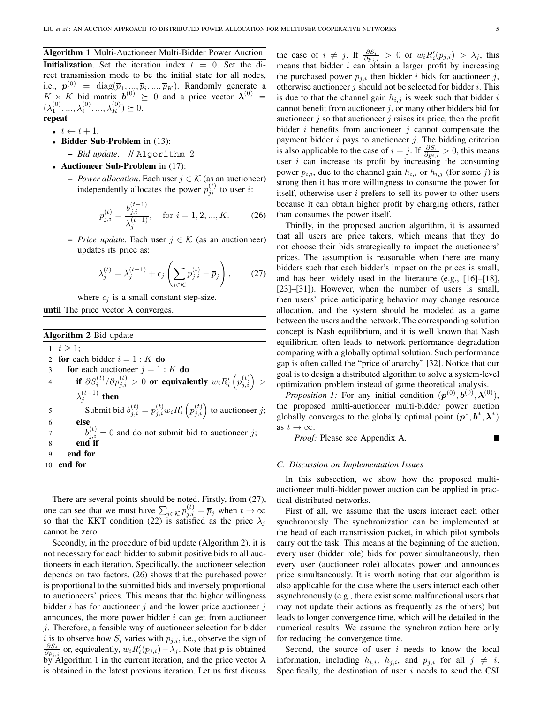**Algorithm 1** Multi-Auctioneer Multi-Bidder Power Auction **Initialization.** Set the iteration index  $t = 0$ . Set the direct transmission mode to be the initial state for all nodes, i.e.,  $p^{(0)} = \text{diag}(\overline{p}_1, ..., \overline{p}_i, ..., \overline{p}_K)$ . Randomly generate a  $K \times K$  bid matrix  $\mathbf{b}^{(0)} \succeq 0$  and a price vector  $\mathbf{\lambda}^{(0)} =$  $(\lambda_1^{(0)}, ..., \lambda_i^{(0)}, ..., \lambda_K^{(0)}) \succeq 0.$ **repeat**

- $t \leftarrow t + 1$ .
- **Bidder Sub-Problem** in (13):
	- **–** *Bid update*. // Algorithm 2
- **Auctioneer Sub-Problem** in (17):
	- **−** *Power allocation*. Each user  $j \in \mathcal{K}$  (as an auctioneer) independently allocates the power  $p_{ji}^{(t)}$  to user *i*:

$$
p_{j,i}^{(t)} = \frac{b_{j,i}^{(t-1)}}{\lambda_j^{(t-1)}}, \quad \text{for } i = 1, 2, ..., K. \tag{26}
$$

**–** *Price update*. Each user j ∈ K (as an auctionneer) updates its price as:

$$
\lambda_j^{(t)} = \lambda_j^{(t-1)} + \epsilon_j \left( \sum_{i \in \mathcal{K}} p_{j,i}^{(t)} - \overline{p}_j \right), \qquad (27)
$$

where  $\epsilon_j$  is a small constant step-size.

**until** The price vector  $\lambda$  converges.

**Algorithm 2** Bid update 1:  $t \geq 1$ ; 2: **for** each bidder  $i = 1: K$  **do** 3: **for** each auctioneer  $j = 1: K$  **do** 4: **if**  $\partial S_i^{(t)} / \partial p_{j,i}^{(t)} > 0$  or equivalently  $w_i R_i' \left( p_{j,i}^{(t)} \right) > 0$  $\lambda_j^{(t-1)}$  then 5: Submit bid  $b_{j,i}^{(t)} = p_{j,i}^{(t)} w_i R_i' (p_{j,i}^{(t)})$  to auctioneer j; 6: **else** 7:  $b_{j,i}^{(t)} = 0$  and do not submit bid to auctioneer j; 8: **end if** 9: **end for** 10: **end for**

There are several points should be noted. Firstly, from (27), one can see that we must have  $\sum_{i \in \mathcal{K}} p_{j,i}^{(t)} = \overline{p}_j$  when  $t \to \infty$ so that the KKT condition (22) is satisfied as the price  $\lambda_j$ cannot be zero.

Secondly, in the procedure of bid update (Algorithm 2), it is not necessary for each bidder to submit positive bids to all auctioneers in each iteration. Specifically, the auctioneer selection depends on two factors. (26) shows that the purchased power is proportional to the submitted bids and inversely proportional to auctioneers' prices. This means that the higher willingness bidder i has for auctioneer j and the lower price auctioneer  $i$ announces, the more power bidder  $i$  can get from auctioneer j. Therefore, a feasible way of auctioneer selection for bidder i is to observe how  $S_i$  varies with  $p_{i,i}$ , i.e., observe the sign of  $\frac{\partial S_i}{\partial p_{j,i}}$  or, equivalently,  $w_i R'_i(p_{j,i}) - \lambda_j$ . Note that *p* is obtained by Algorithm 1 in the current iteration, and the price vector *λ* is obtained in the latest previous iteration. Let us first discuss

the case of  $i \neq j$ . If  $\frac{\partial S_i}{\partial p_{j,i}} > 0$  or  $w_i R_i'(p_{j,i}) > \lambda_j$ , this means that bidder  $i$  can obtain a larger profit by increasing the purchased power  $p_{i,i}$  then bidder i bids for auctioneer j, otherwise auctioneer  $j$  should not be selected for bidder  $i$ . This is due to that the channel gain  $h_{i,j}$  is week such that bidder i cannot benefit from auctioneer  $j$ , or many other bidders bid for auctioneer  $j$  so that auctioneer  $j$  raises its price, then the profit bidder  $i$  benefits from auctioneer  $j$  cannot compensate the payment bidder  $i$  pays to auctioneer  $j$ . The bidding criterion is also applicable to the case of  $i = j$ . If  $\frac{\partial S_i}{\partial p_{i,i}} > 0$ , this means user  $i$  can increase its profit by increasing the consuming power  $p_{i,i}$ , due to the channel gain  $h_{i,i}$  or  $h_{i,j}$  (for some j) is strong then it has more willingness to consume the power for itself, otherwise user  $i$  prefers to sell its power to other users because it can obtain higher profit by charging others, rather than consumes the power itself.

Thirdly, in the proposed auction algorithm, it is assumed that all users are price takers, which means that they do not choose their bids strategically to impact the auctioneers' prices. The assumption is reasonable when there are many bidders such that each bidder's impact on the prices is small, and has been widely used in the literature (e.g., [16]–[18], [23]–[31]). However, when the number of users is small, then users' price anticipating behavior may change resource allocation, and the system should be modeled as a game between the users and the network. The corresponding solution concept is Nash equilibrium, and it is well known that Nash equilibrium often leads to network performance degradation comparing with a globally optimal solution. Such performance gap is often called the "price of anarchy" [32]. Notice that our goal is to design a distributed algorithm to solve a system-level optimization problem instead of game theoretical analysis.

*Proposition 1:* For any initial condition  $(\mathbf{p}^{(0)}, \mathbf{b}^{(0)}, \boldsymbol{\lambda}^{(0)})$ , the proposed multi-auctioneer multi-bidder power auction globally converges to the globally optimal point  $(\mathbf{p}^*, \mathbf{b}^*, \boldsymbol{\lambda}^*)$ as  $t \to \infty$ .

*Proof:* Please see Appendix A.

## *C. Discussion on Implementation Issues*

In this subsection, we show how the proposed multiauctioneer multi-bidder power auction can be applied in practical distributed networks.

First of all, we assume that the users interact each other synchronously. The synchronization can be implemented at the head of each transmission packet, in which pilot symbols carry out the task. This means at the beginning of the auction, every user (bidder role) bids for power simultaneously, then every user (auctioneer role) allocates power and announces price simultaneously. It is worth noting that our algorithm is also applicable for the case where the users interact each other asynchronously (e.g., there exist some malfunctional users that may not update their actions as frequently as the others) but leads to longer convergence time, which will be detailed in the numerical results. We assume the synchronization here only for reducing the convergence time.

Second, the source of user  $i$  needs to know the local information, including  $h_{i,i}$ ,  $h_{j,i}$ , and  $p_{j,i}$  for all  $j \neq i$ . Specifically, the destination of user  $i$  needs to send the CSI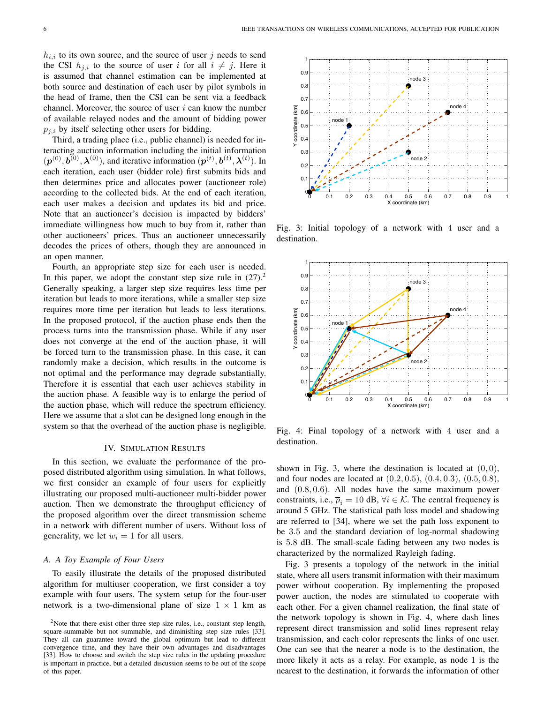$h_{i,i}$  to its own source, and the source of user j needs to send the CSI  $h_{j,i}$  to the source of user i for all  $i \neq j$ . Here it is assumed that channel estimation can be implemented at both source and destination of each user by pilot symbols in the head of frame, then the CSI can be sent via a feedback channel. Moreover, the source of user  $i$  can know the number of available relayed nodes and the amount of bidding power  $p_{j,i}$  by itself selecting other users for bidding.

Third, a trading place (i.e., public channel) is needed for interacting auction information including the initial information  $(p^{(0)}, b^{(0)}, \lambda^{(0)})$ , and iterative information  $(p^{(t)}, b^{(t)}, \lambda^{(t)})$ . In each iteration, each user (bidder role) first submits bids and then determines price and allocates power (auctioneer role) according to the collected bids. At the end of each iteration, each user makes a decision and updates its bid and price. Note that an auctioneer's decision is impacted by bidders' immediate willingness how much to buy from it, rather than other auctioneers' prices. Thus an auctioneer unnecessarily decodes the prices of others, though they are announced in an open manner.

Fourth, an appropriate step size for each user is needed. In this paper, we adopt the constant step size rule in  $(27)$ .<sup>2</sup> Generally speaking, a larger step size requires less time per iteration but leads to more iterations, while a smaller step size requires more time per iteration but leads to less iterations. In the proposed protocol, if the auction phase ends then the process turns into the transmission phase. While if any user does not converge at the end of the auction phase, it will be forced turn to the transmission phase. In this case, it can randomly make a decision, which results in the outcome is not optimal and the performance may degrade substantially. Therefore it is essential that each user achieves stability in the auction phase. A feasible way is to enlarge the period of the auction phase, which will reduce the spectrum efficiency. Here we assume that a slot can be designed long enough in the system so that the overhead of the auction phase is negligible.

#### IV. SIMULATION RESULTS

In this section, we evaluate the performance of the proposed distributed algorithm using simulation. In what follows, we first consider an example of four users for explicitly illustrating our proposed multi-auctioneer multi-bidder power auction. Then we demonstrate the throughput efficiency of the proposed algorithm over the direct transmission scheme in a network with different number of users. Without loss of generality, we let  $w_i = 1$  for all users.

#### *A. A Toy Example of Four Users*

To easily illustrate the details of the proposed distributed algorithm for multiuser cooperation, we first consider a toy example with four users. The system setup for the four-user network is a two-dimensional plane of size  $1 \times 1$  km as



Fig. 3: Initial topology of a network with 4 user and a destination.



Fig. 4: Final topology of a network with 4 user and a destination.

shown in Fig. 3, where the destination is located at  $(0, 0)$ , and four nodes are located at  $(0.2, 0.5)$ ,  $(0.4, 0.3)$ ,  $(0.5, 0.8)$ , and (0.8, 0.6). All nodes have the same maximum power constraints, i.e.,  $\overline{p}_i = 10$  dB,  $\forall i \in \mathcal{K}$ . The central frequency is around 5 GHz. The statistical path loss model and shadowing are referred to [34], where we set the path loss exponent to be 3.5 and the standard deviation of log-normal shadowing is 5.8 dB. The small-scale fading between any two nodes is characterized by the normalized Rayleigh fading.

Fig. 3 presents a topology of the network in the initial state, where all users transmit information with their maximum power without cooperation. By implementing the proposed power auction, the nodes are stimulated to cooperate with each other. For a given channel realization, the final state of the network topology is shown in Fig. 4, where dash lines represent direct transmission and solid lines represent relay transmission, and each color represents the links of one user. One can see that the nearer a node is to the destination, the more likely it acts as a relay. For example, as node 1 is the nearest to the destination, it forwards the information of other

<sup>&</sup>lt;sup>2</sup>Note that there exist other three step size rules, i.e., constant step length, square-summable but not summable, and diminishing step size rules [33]. They all can guarantee toward the global optimum but lead to different convergence time, and they have their own advantages and disadvantages [33]. How to choose and switch the step size rules in the updating procedure is important in practice, but a detailed discussion seems to be out of the scope of this paper.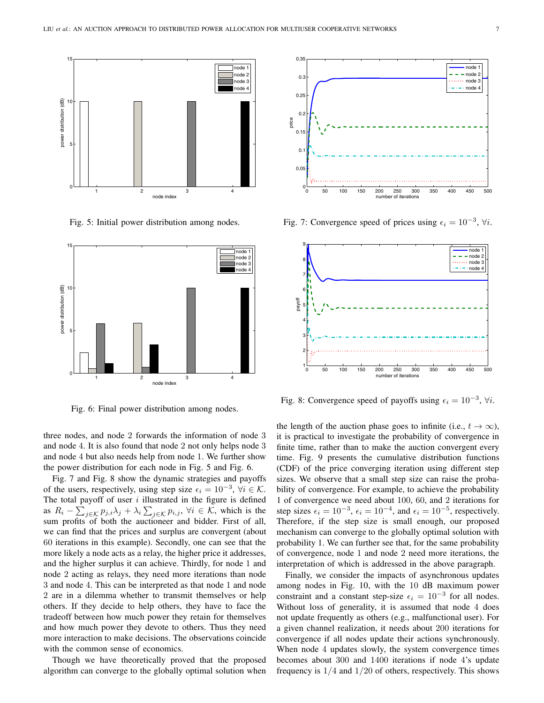

Fig. 5: Initial power distribution among nodes.



Fig. 6: Final power distribution among nodes.

three nodes, and node 2 forwards the information of node 3 and node 4. It is also found that node 2 not only helps node 3 and node 4 but also needs help from node 1. We further show the power distribution for each node in Fig. 5 and Fig. 6.

Fig. 7 and Fig. 8 show the dynamic strategies and payoffs of the users, respectively, using step size  $\epsilon_i = 10^{-3}$ ,  $\forall i \in \mathcal{K}$ . The total payoff of user  $i$  illustrated in the figure is defined as  $R_i - \sum_{j \in \mathcal{K}} p_{j,i} \lambda_j + \lambda_i \sum_{j \in \mathcal{K}} p_{i,j}, \forall i \in \mathcal{K}$ , which is the sum profits of both the auctioneer and bidder. First of all, we can find that the prices and surplus are convergent (about 60 iterations in this example). Secondly, one can see that the more likely a node acts as a relay, the higher price it addresses, and the higher surplus it can achieve. Thirdly, for node 1 and node 2 acting as relays, they need more iterations than node 3 and node 4. This can be interpreted as that node 1 and node 2 are in a dilemma whether to transmit themselves or help others. If they decide to help others, they have to face the tradeoff between how much power they retain for themselves and how much power they devote to others. Thus they need more interaction to make decisions. The observations coincide with the common sense of economics.

Though we have theoretically proved that the proposed algorithm can converge to the globally optimal solution when



Fig. 7: Convergence speed of prices using  $\epsilon_i = 10^{-3}$ ,  $\forall i$ .



Fig. 8: Convergence speed of payoffs using  $\epsilon_i = 10^{-3}$ ,  $\forall i$ .

the length of the auction phase goes to infinite (i.e.,  $t \to \infty$ ), it is practical to investigate the probability of convergence in finite time, rather than to make the auction convergent every time. Fig. 9 presents the cumulative distribution functions (CDF) of the price converging iteration using different step sizes. We observe that a small step size can raise the probability of convergence. For example, to achieve the probability 1 of convergence we need about 100, 60, and 2 iterations for step sizes  $\epsilon_i = 10^{-3}$ ,  $\epsilon_i = 10^{-4}$ , and  $\epsilon_i = 10^{-5}$ , respectively. Therefore, if the step size is small enough, our proposed mechanism can converge to the globally optimal solution with probability 1. We can further see that, for the same probability of convergence, node 1 and node 2 need more iterations, the interpretation of which is addressed in the above paragraph.

Finally, we consider the impacts of asynchronous updates among nodes in Fig. 10, with the 10 dB maximum power constraint and a constant step-size  $\epsilon_i = 10^{-3}$  for all nodes. Without loss of generality, it is assumed that node 4 does not update frequently as others (e.g., malfunctional user). For a given channel realization, it needs about 200 iterations for convergence if all nodes update their actions synchronously. When node 4 updates slowly, the system convergence times becomes about 300 and 1400 iterations if node 4's update frequency is  $1/4$  and  $1/20$  of others, respectively. This shows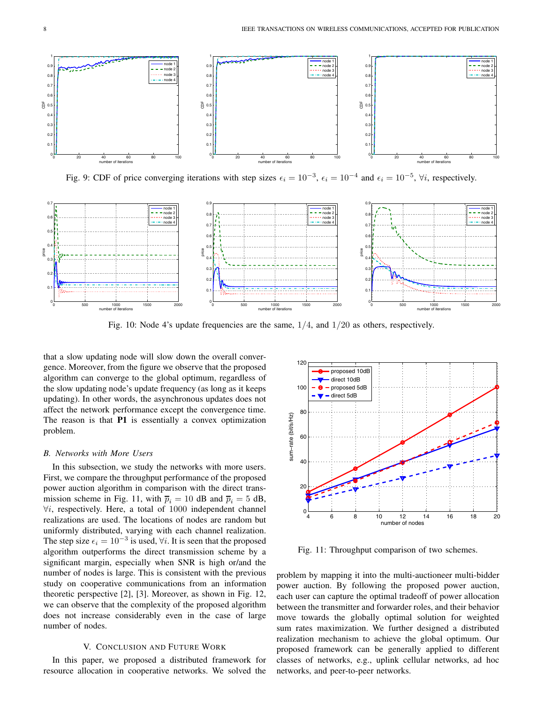

Fig. 9: CDF of price converging iterations with step sizes  $\epsilon_i = 10^{-3}$ ,  $\epsilon_i = 10^{-4}$  and  $\epsilon_i = 10^{-5}$ ,  $\forall i$ , respectively.



Fig. 10: Node 4's update frequencies are the same,  $1/4$ , and  $1/20$  as others, respectively.

that a slow updating node will slow down the overall convergence. Moreover, from the figure we observe that the proposed algorithm can converge to the global optimum, regardless of the slow updating node's update frequency (as long as it keeps updating). In other words, the asynchronous updates does not affect the network performance except the convergence time. The reason is that **P1** is essentially a convex optimization problem.

### *B. Networks with More Users*

In this subsection, we study the networks with more users. First, we compare the throughput performance of the proposed power auction algorithm in comparison with the direct transmission scheme in Fig. 11, with  $\overline{p}_i = 10$  dB and  $\overline{p}_i = 5$  dB,  $\forall i$ , respectively. Here, a total of 1000 independent channel realizations are used. The locations of nodes are random but uniformly distributed, varying with each channel realization. The step size  $\epsilon_i = 10^{-3}$  is used,  $\forall i$ . It is seen that the proposed algorithm outperforms the direct transmission scheme by a significant margin, especially when SNR is high or/and the number of nodes is large. This is consistent with the previous study on cooperative communications from an information theoretic perspective [2], [3]. Moreover, as shown in Fig. 12, we can observe that the complexity of the proposed algorithm does not increase considerably even in the case of large number of nodes.

## V. CONCLUSION AND FUTURE WORK

In this paper, we proposed a distributed framework for resource allocation in cooperative networks. We solved the



Fig. 11: Throughput comparison of two schemes.

problem by mapping it into the multi-auctioneer multi-bidder power auction. By following the proposed power auction, each user can capture the optimal tradeoff of power allocation between the transmitter and forwarder roles, and their behavior move towards the globally optimal solution for weighted sum rates maximization. We further designed a distributed realization mechanism to achieve the global optimum. Our proposed framework can be generally applied to different classes of networks, e.g., uplink cellular networks, ad hoc networks, and peer-to-peer networks.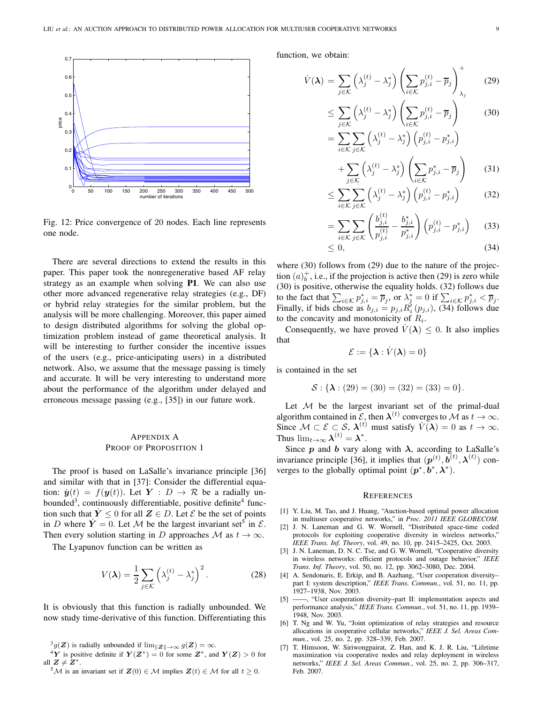

Fig. 12: Price convergence of 20 nodes. Each line represents one node.

There are several directions to extend the results in this paper. This paper took the nonregenerative based AF relay strategy as an example when solving **P1**. We can also use other more advanced regenerative relay strategies (e.g., DF) or hybrid relay strategies for the similar problem, but the analysis will be more challenging. Moreover, this paper aimed to design distributed algorithms for solving the global optimization problem instead of game theoretical analysis. It will be interesting to further consider the incentive issues of the users (e.g., price-anticipating users) in a distributed network. Also, we assume that the message passing is timely and accurate. It will be very interesting to understand more about the performance of the algorithm under delayed and erroneous message passing (e.g., [35]) in our future work.

## APPENDIX A PROOF OF PROPOSITION 1

The proof is based on LaSalle's invariance principle [36] and similar with that in [37]: Consider the differential equation:  $\dot{y}(t) = f(y(t))$ . Let  $Y : D \to \mathcal{R}$  be a radially unbounded<sup>3</sup>, continuously differentiable, positive definite<sup>4</sup> function such that  $\dot{Y} \leq 0$  for all  $Z \in D$ . Let  $\mathcal{E}$  be the set of points in *D* where  $\dot{Y} = 0$ . Let *M* be the largest invariant set<sup>5</sup> in  $\mathcal{E}$ . Then every solution starting in D approaches M as  $t \to \infty$ .

The Lyapunov function can be written as

$$
V(\lambda) = \frac{1}{2} \sum_{j \in \mathcal{K}} \left( \lambda_j^{(t)} - \lambda_j^* \right)^2.
$$
 (28)

It is obviously that this function is radially unbounded. We now study time-derivative of this function. Differentiating this

- <sup>4</sup>*Y* is positive definite if  $Y(Z^*) = 0$  for some  $Z^*$ , and  $Y(Z) > 0$  for all  $Z \neq Z^*$ .
	- <sup>5</sup>*M* is an invariant set if *Z*(0) ∈ *M* implies *Z*(*t*) ∈ *M* for all *t* ≥ 0*.*

function, we obtain:

$$
\dot{V}(\lambda) = \sum_{j \in \mathcal{K}} \left( \lambda_j^{(t)} - \lambda_j^* \right) \left( \sum_{i \in \mathcal{K}} p_{j,i}^{(t)} - \overline{p}_j \right)_{\lambda_j}^+ \tag{29}
$$

$$
\leq \sum_{j \in \mathcal{K}} \left( \lambda_j^{(t)} - \lambda_j^* \right) \left( \sum_{i \in \mathcal{K}} p_{j,i}^{(t)} - \overline{p}_j \right) \tag{30}
$$

$$
= \sum_{i \in \mathcal{K}} \sum_{j \in \mathcal{K}} \left( \lambda_j^{(t)} - \lambda_j^* \right) \left( p_{j,i}^{(t)} - p_{j,i}^* \right)
$$

$$
+\sum_{j\in\mathcal{K}}\left(\lambda_j^{(t)}-\lambda_j^*\right)\left(\sum_{i\in\mathcal{K}}p_{j,i}^*-\overline{p}_j\right) \qquad(31)
$$

$$
\leq \sum_{i \in \mathcal{K}} \sum_{j \in \mathcal{K}} \left( \lambda_j^{(t)} - \lambda_j^* \right) \left( p_{j,i}^{(t)} - p_{j,i}^* \right) \tag{32}
$$

$$
= \sum_{i \in \mathcal{K}} \sum_{j \in \mathcal{K}} \left( \frac{b_{j,i}^{(t)}}{p_{j,i}^{(t)}} - \frac{b_{j,i}^*}{p_{j,i}^*} \right) \left( p_{j,i}^{(t)} - p_{j,i}^* \right) \tag{33}
$$

$$
\leq 0,\tag{34}
$$

where (30) follows from (29) due to the nature of the projection  $(a)_b^+$ , i.e., if the projection is active then (29) is zero while (30) is positive, otherwise the equality holds. (32) follows due to the fact that  $\sum_{i \in \mathcal{K}} p_{j,i}^* = \overline{p}_j$ , or  $\lambda_j^* = 0$  if  $\sum_{i \in \mathcal{K}} p_{j,i}^* < \overline{p}_j$ . Finally, if bids chose as  $b_{j,i} = p_{j,i} R'_i(p_{j,i})$ , (34) follows due to the concavity and monotonicity of  $R_i$ .

Consequently, we have proved  $V(\lambda) \leq 0$ . It also implies that

$$
\mathcal{E} := \{ \lambda : \dot{V}(\lambda) = 0 \}
$$

is contained in the set

$$
S: \{\lambda : (29) = (30) = (32) = (33) = 0\}.
$$

Let  $M$  be the largest invariant set of the primal-dual algorithm contained in  $\mathcal{E}$ , then  $\lambda^{(t)}$  converges to M as  $t \to \infty$ . Since  $M \subset \mathcal{E} \subset \mathcal{S}$ ,  $\lambda^{(t)}$  must satisfy  $V(\lambda) = 0$  as  $t \to \infty$ . Thus  $\lim_{t\to\infty} \lambda^{(t)} = \lambda^*$ .

Since  $p$  and  $b$  vary along with  $\lambda$ , according to LaSalle's invariance principle [36], it implies that  $(p^{(t)}, b^{(t)}, \lambda^{(t)})$  converges to the globally optimal point  $(p^*, b^*, \lambda^*)$ .

### **REFERENCES**

- [1] Y. Liu, M. Tao, and J. Huang, "Auction-based optimal power allocation in multiuser cooperative networks," in *Proc. 2011 IEEE GLOBECOM*.
- [2] J. N. Laneman and G. W. Wornell, "Distributed space-time coded protocols for exploiting cooperative diversity in wireless networks," *IEEE Trans. Inf. Theory*, vol. 49, no. 10, pp. 2415–2425, Oct. 2003.
- [3] J. N. Laneman, D. N. C. Tse, and G. W. Wornell, "Cooperative diversity in wireless networks: efficient protocols and outage behavior," *IEEE Trans. Inf. Theory*, vol. 50, no. 12, pp. 3062–3080, Dec. 2004.
- [4] A. Sendonaris, E. Erkip, and B. Aazhang, "User cooperation diversity– part I: system description," *IEEE Trans. Commun.*, vol. 51, no. 11, pp. 1927–1938, Nov. 2003.
- [5] ——, "User cooperation diversity–part II: implementation aspects and performance analysis," *IEEE Trans. Commun.*, vol. 51, no. 11, pp. 1939– 1948, Nov. 2003.
- [6] T. Ng and W. Yu, "Joint optimization of relay strategies and resource allocations in cooperative cellular networks," *IEEE J. Sel. Areas Commun.*, vol. 25, no. 2, pp. 328–339, Feb. 2007.
- [7] T. Himsoon, W. Siriwongpairat, Z. Han, and K. J. R. Liu, "Lifetime maximization via cooperative nodes and relay deployment in wireless networks," *IEEE J. Sel. Areas Commun.*, vol. 25, no. 2, pp. 306–317, Feb. 2007.

 ${}^3g(\mathbf{Z})$  is radially unbounded if  $\lim_{\|\mathbf{Z}\| \to \infty} g(\mathbf{Z}) = \infty$ .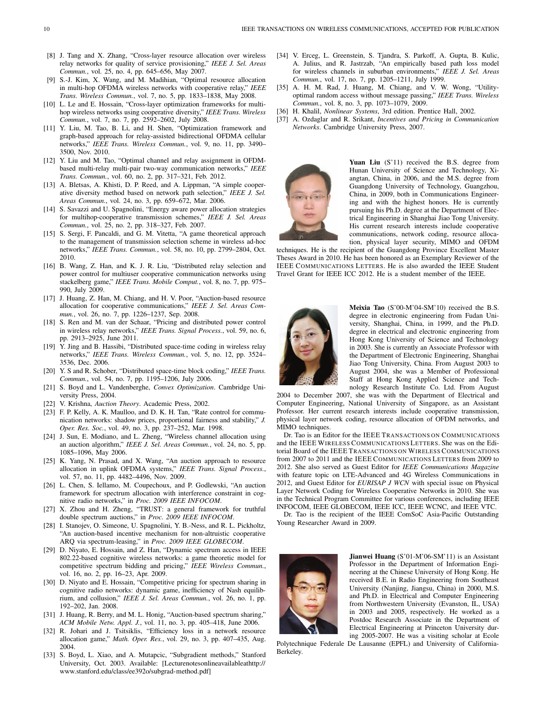- [8] J. Tang and X. Zhang, "Cross-layer resource allocation over wireless relay networks for quality of service provisioning," *IEEE J. Sel. Areas Commun.*, vol. 25, no. 4, pp. 645–656, May 2007.
- [9] S.-J. Kim, X. Wang, and M. Madihian, "Optimal resource allocation in multi-hop OFDMA wireless networks with cooperative relay," *IEEE Trans. Wireless Commun.*, vol. 7, no. 5, pp. 1833–1838, May 2008.
- [10] L. Le and E. Hossain, "Cross-layer optimization frameworks for multihop wireless networks using cooperative diversity," *IEEE Trans. Wireless Commun.*, vol. 7, no. 7, pp. 2592–2602, July 2008.
- [11] Y. Liu, M. Tao, B. Li, and H. Shen, "Optimization framework and graph-based approach for relay-assisted bidirectional OFDMA cellular networks," *IEEE Trans. Wireless Commun.*, vol. 9, no. 11, pp. 3490– 3500, Nov. 2010.
- [12] Y. Liu and M. Tao, "Optimal channel and relay assignment in OFDMbased multi-relay multi-pair two-way communication networks," *IEEE Trans. Commun.*, vol. 60, no. 2, pp. 317–321, Feb. 2012.
- [13] A. Bletsas, A. Khisti, D. P. Reed, and A. Lippman, "A simple cooperative diversity method based on network path selection," *IEEE J. Sel. Areas Commun.*, vol. 24, no. 3, pp. 659–672, Mar. 2006.
- [14] S. Savazzi and U. Spagnolini, "Energy aware power allocation strategies for multihop-cooperative transmission schemes," *IEEE J. Sel. Areas Commun.*, vol. 25, no. 2, pp. 318–327, Feb. 2007.
- [15] S. Sergi, F. Pancaldi, and G. M. Vitetta, "A game theoretical approach to the management of transmission selection scheme in wireless ad-hoc networks," *IEEE Trans. Commun.*, vol. 58, no. 10, pp. 2799–2804, Oct. 2010.
- [16] B. Wang, Z. Han, and K. J. R. Liu, "Distributed relay selection and power control for multiuser cooperative communication networks using stackelberg game," *IEEE Trans. Mobile Comput.*, vol. 8, no. 7, pp. 975– 990, July 2009.
- [17] J. Huang, Z. Han, M. Chiang, and H. V. Poor, "Auction-based resource allocation for cooperative communications," *IEEE J. Sel. Areas Commun.*, vol. 26, no. 7, pp. 1226–1237, Sep. 2008.
- [18] S. Ren and M. van der Schaar, "Pricing and distributed power control in wireless relay networks," *IEEE Trans. Signal Process.*, vol. 59, no. 6, pp. 2913–2925, June 2011.
- [19] Y. Jing and B. Hassibi, "Distributed space-time coding in wireless relay networks," *IEEE Trans. Wireless Commun.*, vol. 5, no. 12, pp. 3524– 3536, Dec. 2006.
- [20] Y. S and R. Schober, "Distributed space-time block coding," *IEEE Trans. Commun.*, vol. 54, no. 7, pp. 1195–1206, July 2006.
- [21] S. Boyd and L. Vandenberghe, *Convex Optimization*. Cambridge University Press, 2004.
- [22] V. Krishna, *Auction Theory*. Academic Press, 2002.
- [23] F. P. Kelly, A. K. Maulloo, and D. K. H. Tan, "Rate control for communication networks: shadow prices, proportional fairness and stability," *J. Oper. Res. Soc.*, vol. 49, no. 3, pp. 237–252, Mar. 1998.
- [24] J. Sun, E. Modiano, and L. Zheng, "Wireless channel allocation using an auction algorithm," *IEEE J. Sel. Areas Commun.*, vol. 24, no. 5, pp. 1085–1096, May 2006.
- [25] K. Yang, N. Prasad, and X. Wang, "An auction approach to resource allocation in uplink OFDMA systems," *IEEE Trans. Signal Process.*, vol. 57, no. 11, pp. 4482–4496, Nov. 2009.
- [26] L. Chen, S. Iellamo, M. Coupechoux, and P. Godlewski, "An auction framework for spectrum allocation with interference constraint in cognitive radio networks," in *Proc. 2009 IEEE INFOCOM*.
- [27] X. Zhou and H. Zheng, "TRUST: a general framework for truthful double spectrum auctions," in *Proc. 2009 IEEE INFOCOM*.
- [28] I. Stanojev, O. Simeone, U. Spagnolini, Y. B.-Ness, and R. L. Pickholtz, "An auction-based incentive mechanism for non-altruistic cooperative ARQ via spectrum-leasing," in *Proc. 2009 IEEE GLOBECOM*.
- [29] D. Niyato, E. Hossain, and Z. Han, "Dynamic spectrum access in IEEE 802.22-based cognitive wireless networks: a game theoretic model for competitive spectrum bidding and pricing," *IEEE Wireless Commun.*, vol. 16, no. 2, pp. 16–23, Apr. 2009.
- [30] D. Niyato and E. Hossain, "Competitive pricing for spectrum sharing in cognitive radio networks: dynamic game, inefficiency of Nash equilibrium, and collusion," *IEEE J. Sel. Areas Commun.*, vol. 26, no. 1, pp. 192–202, Jan. 2008.
- [31] J. Huang, R. Berry, and M. L. Honig, "Auction-based spectrum sharing," *ACM Mobile Netw. Appl. J.*, vol. 11, no. 3, pp. 405–418, June 2006.
- [32] R. Johari and J. Tsitsiklis, "Efficiency loss in a network resource allocation game," *Math. Oper. Res.*, vol. 29, no. 3, pp. 407–435, Aug. 2004.
- [33] S. Boyd, L. Xiao, and A. Mutapcic, "Subgradient methods," Stanford University, Oct. 2003. Available: [Lecturenotesonlineavailableathttp:// www.stanford.edu/class/ee392o/subgrad-method.pdf]
- [34] V. Erceg, L. Greenstein, S. Tjandra, S. Parkoff, A. Gupta, B. Kulic, A. Julius, and R. Jastrzab, "An empirically based path loss model for wireless channels in suburban environments," *IEEE J. Sel. Areas Commun.*, vol. 17, no. 7, pp. 1205–1211, July 1999.
- [35] A. H. M. Rad, J. Huang, M. Chiang, and V. W. Wong, "Utilityoptimal random access without message passing," *IEEE Trans. Wireless Commun.*, vol. 8, no. 3, pp. 1073–1079, 2009.
- [36] H. Khalil, *Nonlinear Systems*, 3rd edition. Prentice Hall, 2002.
- [37] A. Ozdaglar and R. Srikant, *Incentives and Pricing in Communication Networks*. Cambridge University Press, 2007.



Yuan Liu (S'11) received the B.S. degree from Hunan University of Science and Technology, Xiangtan, China, in 2006, and the M.S. degree from Guangdong University of Technology, Guangzhou, China, in 2009, both in Communications Engineering and with the highest honors. He is currently pursuing his Ph.D. degree at the Department of Electrical Engineering in Shanghai Jiao Tong University. His current research interests include cooperative communications, network coding, resource allocation, physical layer security, MIMO and OFDM

techniques. He is the recipient of the Guangdong Province Excellent Master Theses Award in 2010. He has been honored as an Exemplary Reviewer of the IEEE COMMUNICATIONS LETTERS. He is also awarded the IEEE Student Travel Grant for IEEE ICC 2012. He is a student member of the IEEE.



**Meixia Tao** (S'00-M'04-SM'10) received the B.S. degree in electronic engineering from Fudan University, Shanghai, China, in 1999, and the Ph.D. degree in electrical and electronic engineering from Hong Kong University of Science and Technology in 2003. She is currently an Associate Professor with the Department of Electronic Engineering, Shanghai Jiao Tong University, China. From August 2003 to August 2004, she was a Member of Professional Staff at Hong Kong Applied Science and Technology Research Institute Co. Ltd. From August

2004 to December 2007, she was with the Department of Electrical and Computer Engineering, National University of Singapore, as an Assistant Professor. Her current research interests include cooperative transmission, physical layer network coding, resource allocation of OFDM networks, and MIMO techniques.

Dr. Tao is an Editor for the IEEE TRANSACTIONS ON COMMUNICATIONS and the IEEE WIRELESS COMMUNICATIONS LETTERS. She was on the Editorial Board of the IEEE TRANSACTIONS ON WIRELESS COMMUNICATIONS from 2007 to 2011 and the IEEE COMMUNICATIONS LETTERS from 2009 to 2012. She also served as Guest Editor for *IEEE Communications Magazine* with feature topic on LTE-Advanced and 4G Wireless Communications in 2012, and Guest Editor for *EURISAP J WCN* with special issue on Physical Layer Network Coding for Wireless Cooperative Networks in 2010. She was in the Technical Program Committee for various conferences, including IEEE INFOCOM, IEEE GLOBECOM, IEEE ICC, IEEE WCNC, and IEEE VTC. Dr. Tao is the recipient of the IEEE ComSoC Asia-Pacific Outstanding

Young Researcher Award in 2009.



**Jianwei Huang** (S'01-M'06-SM'11) is an Assistant Professor in the Department of Information Engineering at the Chinese University of Hong Kong. He received B.E. in Radio Engineering from Southeast University (Nanjing, Jiangsu, China) in 2000, M.S. and Ph.D. in Electrical and Computer Engineering from Northwestern University (Evanston, IL, USA) in 2003 and 2005, respectively. He worked as a Postdoc Research Associate in the Department of Electrical Engineering at Princeton University during 2005-2007. He was a visiting scholar at Ecole

Polytechnique Federale De Lausanne (EPFL) and University of California-Berkeley.